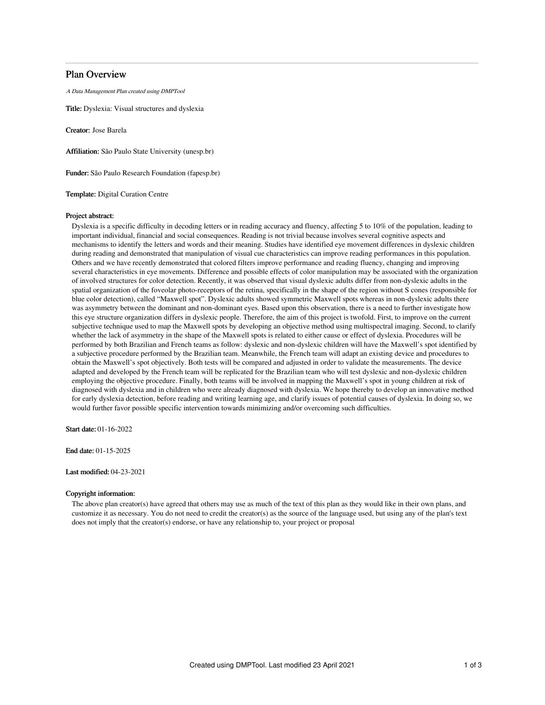# Plan Overview

A Data Management Plan created using DMPTool

Title: Dyslexia: Visual structures and dyslexia

Creator: Jose Barela

Affiliation: São Paulo State University (unesp.br)

Funder: São Paulo Research Foundation (fapesp.br)

Template: Digital Curation Centre

### Project abstract:

Dyslexia is a specific difficulty in decoding letters or in reading accuracy and fluency, affecting 5 to 10% of the population, leading to important individual, financial and social consequences. Reading is not trivial because involves several cognitive aspects and mechanisms to identify the letters and words and their meaning. Studies have identified eye movement differences in dyslexic children during reading and demonstrated that manipulation of visual cue characteristics can improve reading performances in this population. Others and we have recently demonstrated that colored filters improve performance and reading fluency, changing and improving several characteristics in eye movements. Difference and possible effects of color manipulation may be associated with the organization of involved structures for color detection. Recently, it was observed that visual dyslexic adults differ from non-dyslexic adults in the spatial organization of the foveolar photo-receptors of the retina, specifically in the shape of the region without S cones (responsible for blue color detection), called "Maxwell spot". Dyslexic adults showed symmetric Maxwell spots whereas in non-dyslexic adults there was asymmetry between the dominant and non-dominant eyes. Based upon this observation, there is a need to further investigate how this eye structure organization differs in dyslexic people. Therefore, the aim of this project is twofold. First, to improve on the current subjective technique used to map the Maxwell spots by developing an objective method using multispectral imaging. Second, to clarify whether the lack of asymmetry in the shape of the Maxwell spots is related to either cause or effect of dyslexia. Procedures will be performed by both Brazilian and French teams as follow: dyslexic and non-dyslexic children will have the Maxwell's spot identified by a subjective procedure performed by the Brazilian team. Meanwhile, the French team will adapt an existing device and procedures to obtain the Maxwell's spot objectively. Both tests will be compared and adjusted in order to validate the measurements. The device adapted and developed by the French team will be replicated for the Brazilian team who will test dyslexic and non-dyslexic children employing the objective procedure. Finally, both teams will be involved in mapping the Maxwell's spot in young children at risk of diagnosed with dyslexia and in children who were already diagnosed with dyslexia. We hope thereby to develop an innovative method for early dyslexia detection, before reading and writing learning age, and clarify issues of potential causes of dyslexia. In doing so, we would further favor possible specific intervention towards minimizing and/or overcoming such difficulties.

Start date: 01-16-2022

End date: 01-15-2025

### Last modified: 04-23-2021

## Copyright information:

The above plan creator(s) have agreed that others may use as much of the text of this plan as they would like in their own plans, and customize it as necessary. You do not need to credit the creator(s) as the source of the language used, but using any of the plan's text does not imply that the creator(s) endorse, or have any relationship to, your project or proposal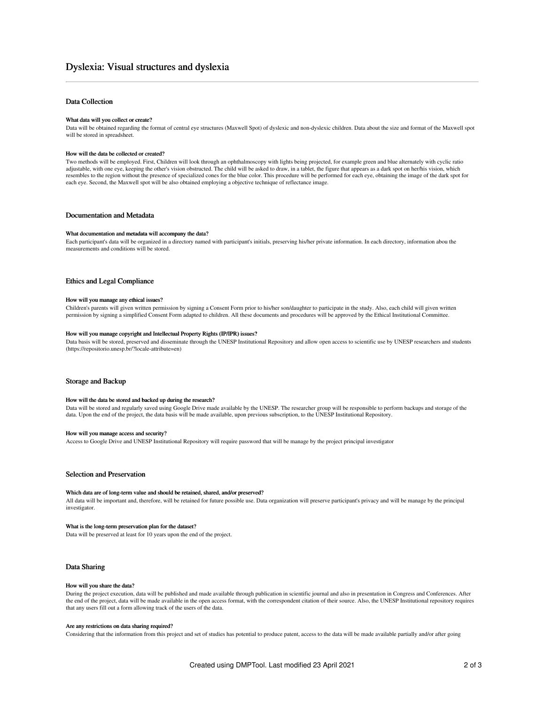## Data Collection

### What data will you collect or create?

Data will be obtained regarding the format of central eye structures (Maxwell Spot) of dyslexic and non-dyslexic children. Data about the size and format of the Maxwell spot will be stored in spreadsheet.

#### How will the data be collected or created?

Two methods will be employed. First, Children will look through an ophthalmoscopy with lights being projected, for example green and blue alternately with cyclic ratio adjustable, with one eye, keeping the other's vision obstructed. The child will be asked to draw, in a tablet, the figure that appears as a dark spot on her/his vision, which resembles to the region without the presence of specialized cones for the blue color. This procedure will be performed for each eye, obtaining the image of the dark spot for each eye. Second, the Maxwell spot will be also obtained employing a objective technique of reflectance image.

## Documentation and Metadata

#### What documentation and metadata will accompany the data?

Each participant's data will be organized in a directory named with participant's initials, preserving his/her private information. In each directory, information abou the measurements and conditions will be stored.

### Ethics and Legal Compliance

#### How will you manage any ethical issues?

Children's parents will given written permission by signing a Consent Form prior to his/her son/daughter to participate in the study. Also, each child will given written permission by signing a simplified Consent Form adapted to children. All these documents and procedures will be approved by the Ethical Institutional Committee.

#### How will you manage copyright and Intellectual Property Rights (IP/IPR) issues?

Data basis will be stored, preserved and disseminate through the UNESP Institutional Repository and allow open access to scientific use by UNESP researchers and students (https://repositorio.unesp.br/?locale-attribute=en)

## Storage and Backup

### How will the data be stored and backed up during the research?

Data will be stored and regularly saved using Google Drive made available by the UNESP. The researcher group will be responsible to perform backups and storage of the data. Upon the end of the project, the data basis will be made available, upon previous subscription, to the UNESP Institutional Repository.

#### How will you manage access and security?

Access to Google Drive and UNESP Institutional Repository will require password that will be manage by the project principal investigator

### Selection and Preservation

### Which data are of long-term value and should be retained, shared, and/or preserved?

All data will be important and, therefore, will be retained for future possible use. Data organization will preserve participant's privacy and will be manage by the principal investigator.

### What is the long-term preservation plan for the dataset?

Data will be preserved at least for 10 years upon the end of the project.

### Data Sharing

#### How will you share the data?

During the project execution, data will be published and made available through publication in scientific journal and also in presentation in Congress and Conferences. After the end of the project, data will be made available in the open access format, with the correspondent citation of their source. Also, the UNESP Institutional repository requires that any users fill out a form allowing track of the users of the data.

#### Are any restrictions on data sharing required?

Considering that the information from this project and set of studies has potential to produce patent, access to the data will be made available partially and/or after going